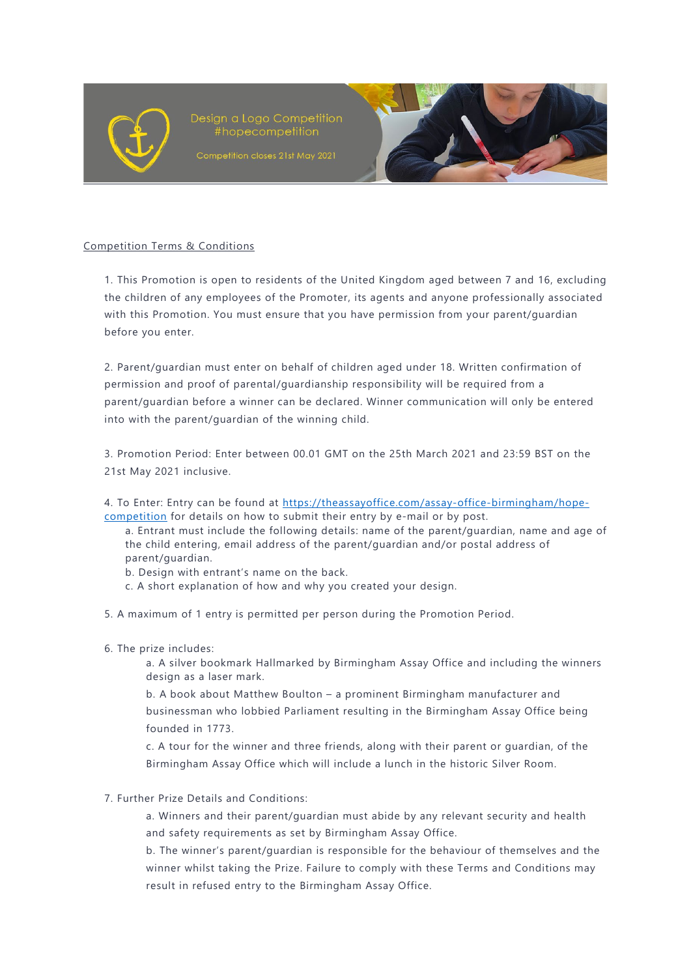

Design a Logo Competition #hopecompetition



## Competition Terms & Conditions

1. This Promotion is open to residents of the United Kingdom aged between 7 and 16, excluding the children of any employees of the Promoter, its agents and anyone professionally associated with this Promotion. You must ensure that you have permission from your parent/guardian before you enter.

2. Parent/guardian must enter on behalf of children aged under 18. Written confirmation of permission and proof of parental/guardianship responsibility will be required from a parent/guardian before a winner can be declared. Winner communication will only be entered into with the parent/guardian of the winning child.

3. Promotion Period: Enter between 00.01 GMT on the 25th March 2021 and 23:59 BST on the 21st May 2021 inclusive.

- 4. To Enter: Entry can be found at [https://theassayoffice.com/assay-office-birmingham/hope](https://theassayoffice.com/assay-office-birmingham/hope-competition)[competition](https://theassayoffice.com/assay-office-birmingham/hope-competition) for details on how to submit their entry by e-mail or by post.
	- a. Entrant must include the following details: name of the parent/guardian, name and age of the child entering, email address of the parent/guardian and/or postal address of parent/guardian.
	- b. Design with entrant's name on the back.
	- c. A short explanation of how and why you created your design.
- 5. A maximum of 1 entry is permitted per person during the Promotion Period.
- 6. The prize includes:
	- a. A silver bookmark Hallmarked by Birmingham Assay Office and including the winners design as a laser mark.

b. A book about Matthew Boulton – a prominent Birmingham manufacturer and businessman who lobbied Parliament resulting in the Birmingham Assay Office being founded in 1773.

c. A tour for the winner and three friends, along with their parent or guardian, of the Birmingham Assay Office which will include a lunch in the historic Silver Room.

## 7. Further Prize Details and Conditions:

a. Winners and their parent/guardian must abide by any relevant security and health and safety requirements as set by Birmingham Assay Office.

b. The winner's parent/guardian is responsible for the behaviour of themselves and the winner whilst taking the Prize. Failure to comply with these Terms and Conditions may result in refused entry to the Birmingham Assay Office.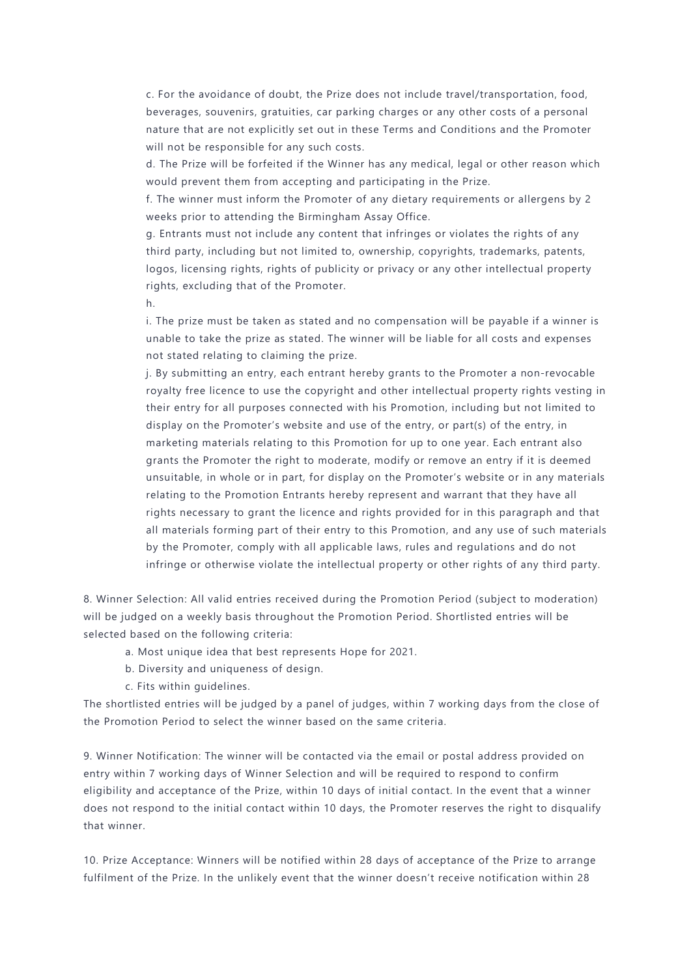c. For the avoidance of doubt, the Prize does not include travel/transportation, food, beverages, souvenirs, gratuities, car parking charges or any other costs of a personal nature that are not explicitly set out in these Terms and Conditions and the Promoter will not be responsible for any such costs.

d. The Prize will be forfeited if the Winner has any medical, legal or other reason which would prevent them from accepting and participating in the Prize.

f. The winner must inform the Promoter of any dietary requirements or allergens by 2 weeks prior to attending the Birmingham Assay Office.

g. Entrants must not include any content that infringes or violates the rights of any third party, including but not limited to, ownership, copyrights, trademarks, patents, logos, licensing rights, rights of publicity or privacy or any other intellectual property rights, excluding that of the Promoter.

h.

i. The prize must be taken as stated and no compensation will be payable if a winner is unable to take the prize as stated. The winner will be liable for all costs and expenses not stated relating to claiming the prize.

j. By submitting an entry, each entrant hereby grants to the Promoter a non-revocable royalty free licence to use the copyright and other intellectual property rights vesting in their entry for all purposes connected with his Promotion, including but not limited to display on the Promoter's website and use of the entry, or part(s) of the entry, in marketing materials relating to this Promotion for up to one year. Each entrant also grants the Promoter the right to moderate, modify or remove an entry if it is deemed unsuitable, in whole or in part, for display on the Promoter's website or in any materials relating to the Promotion Entrants hereby represent and warrant that they have all rights necessary to grant the licence and rights provided for in this paragraph and that all materials forming part of their entry to this Promotion, and any use of such materials by the Promoter, comply with all applicable laws, rules and regulations and do not infringe or otherwise violate the intellectual property or other rights of any third party.

8. Winner Selection: All valid entries received during the Promotion Period (subject to moderation) will be judged on a weekly basis throughout the Promotion Period. Shortlisted entries will be selected based on the following criteria:

a. Most unique idea that best represents Hope for 2021.

b. Diversity and uniqueness of design.

c. Fits within guidelines.

The shortlisted entries will be judged by a panel of judges, within 7 working days from the close of the Promotion Period to select the winner based on the same criteria.

9. Winner Notification: The winner will be contacted via the email or postal address provided on entry within 7 working days of Winner Selection and will be required to respond to confirm eligibility and acceptance of the Prize, within 10 days of initial contact. In the event that a winner does not respond to the initial contact within 10 days, the Promoter reserves the right to disqualify that winner.

10. Prize Acceptance: Winners will be notified within 28 days of acceptance of the Prize to arrange fulfilment of the Prize. In the unlikely event that the winner doesn't receive notification within 28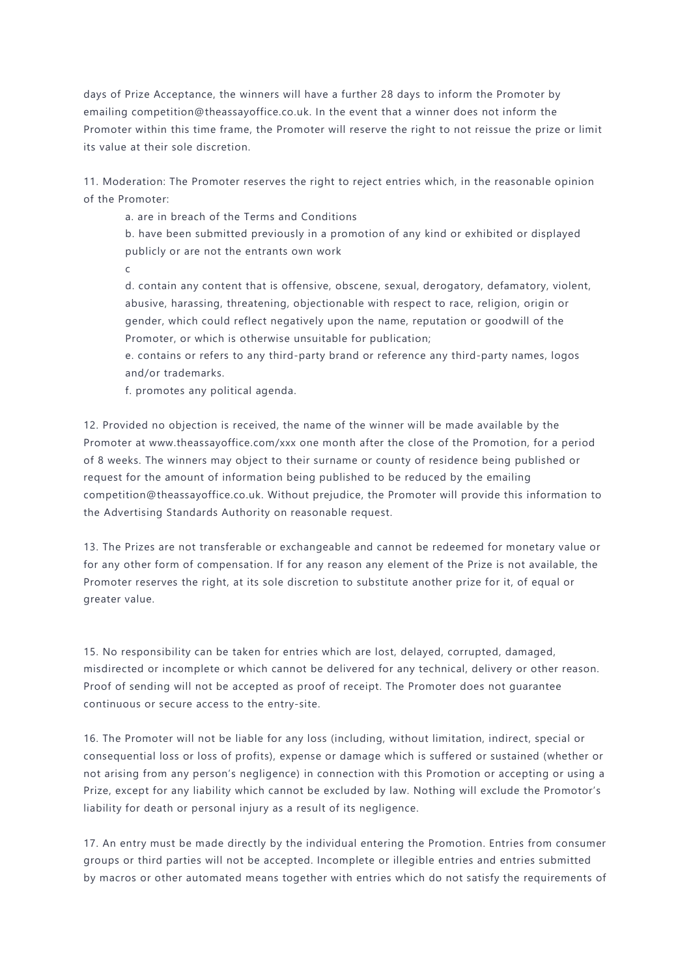days of Prize Acceptance, the winners will have a further 28 days to inform the Promoter by emailing competition@theassayoffice.co.uk. In the event that a winner does not inform the Promoter within this time frame, the Promoter will reserve the right to not reissue the prize or limit its value at their sole discretion.

11. Moderation: The Promoter reserves the right to reject entries which, in the reasonable opinion of the Promoter:

a. are in breach of the Terms and Conditions

b. have been submitted previously in a promotion of any kind or exhibited or displayed publicly or are not the entrants own work

c

d. contain any content that is offensive, obscene, sexual, derogatory, defamatory, violent, abusive, harassing, threatening, objectionable with respect to race, religion, origin or gender, which could reflect negatively upon the name, reputation or goodwill of the Promoter, or which is otherwise unsuitable for publication;

e. contains or refers to any third-party brand or reference any third-party names, logos and/or trademarks.

f. promotes any political agenda.

12. Provided no objection is received, the name of the winner will be made available by the Promoter at www.theassayoffice.com/xxx one month after the close of the Promotion, for a period of 8 weeks. The winners may object to their surname or county of residence being published or request for the amount of information being published to be reduced by the emailing competition@theassayoffice.co.uk. Without prejudice, the Promoter will provide this information to the Advertising Standards Authority on reasonable request.

13. The Prizes are not transferable or exchangeable and cannot be redeemed for monetary value or for any other form of compensation. If for any reason any element of the Prize is not available, the Promoter reserves the right, at its sole discretion to substitute another prize for it, of equal or greater value.

15. No responsibility can be taken for entries which are lost, delayed, corrupted, damaged, misdirected or incomplete or which cannot be delivered for any technical, delivery or other reason. Proof of sending will not be accepted as proof of receipt. The Promoter does not guarantee continuous or secure access to the entry-site.

16. The Promoter will not be liable for any loss (including, without limitation, indirect, special or consequential loss or loss of profits), expense or damage which is suffered or sustained (whether or not arising from any person's negligence) in connection with this Promotion or accepting or using a Prize, except for any liability which cannot be excluded by law. Nothing will exclude the Promotor's liability for death or personal injury as a result of its negligence.

17. An entry must be made directly by the individual entering the Promotion. Entries from consumer groups or third parties will not be accepted. Incomplete or illegible entries and entries submitted by macros or other automated means together with entries which do not satisfy the requirements of